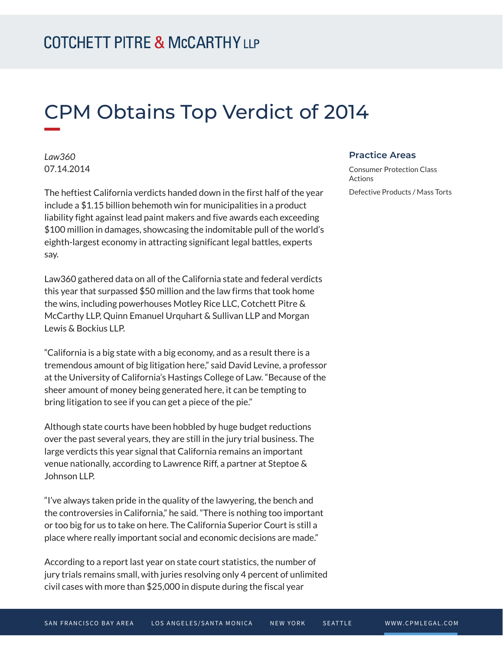# CPM Obtains Top Verdict of 2014

*Law360* 07.14.2014

The heftiest California verdicts handed down in the first half of the year include a \$1.15 billion behemoth win for municipalities in a product liability fight against lead paint makers and five awards each exceeding \$100 million in damages, showcasing the indomitable pull of the world's eighth-largest economy in attracting significant legal battles, experts say.

Law360 gathered data on all of the California state and federal verdicts this year that surpassed \$50 million and the law firms that took home the wins, including powerhouses Motley Rice LLC, Cotchett Pitre & McCarthy LLP, Quinn Emanuel Urquhart & Sullivan LLP and Morgan Lewis & Bockius LLP.

"California is a big state with a big economy, and as a result there is a tremendous amount of big litigation here," said David Levine, a professor at the University of California's Hastings College of Law. "Because of the sheer amount of money being generated here, it can be tempting to bring litigation to see if you can get a piece of the pie."

Although state courts have been hobbled by huge budget reductions over the past several years, they are still in the jury trial business. The large verdicts this year signal that California remains an important venue nationally, according to Lawrence Riff, a partner at Steptoe & Johnson LLP.

"I've always taken pride in the quality of the lawyering, the bench and the controversies in California," he said. "There is nothing too important or too big for us to take on here. The California Superior Court is still a place where really important social and economic decisions are made."

According to a report last year on state court statistics, the number of jury trials remains small, with juries resolving only 4 percent of unlimited civil cases with more than \$25,000 in dispute during the fiscal year

#### **Practice Areas**

Consumer Protection Class Actions

Defective Products / Mass Torts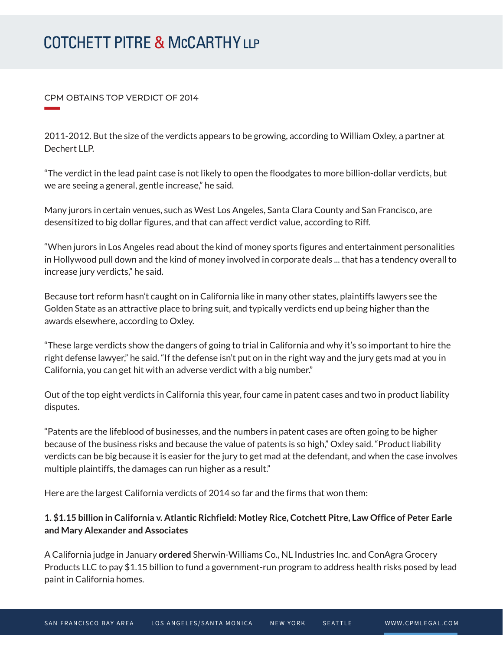## **COTCHETT PITRE & McCARTHY LLP**

#### CPM OBTAINS TOP VERDICT OF 2014

**William Company** 

2011-2012. But the size of the verdicts appears to be growing, according to William Oxley, a partner at Dechert LLP.

"The verdict in the lead paint case is not likely to open the floodgates to more billion-dollar verdicts, but we are seeing a general, gentle increase," he said.

Many jurors in certain venues, such as West Los Angeles, Santa Clara County and San Francisco, are desensitized to big dollar figures, and that can affect verdict value, according to Riff.

"When jurors in Los Angeles read about the kind of money sports figures and entertainment personalities in Hollywood pull down and the kind of money involved in corporate deals ... that has a tendency overall to increase jury verdicts," he said.

Because tort reform hasn't caught on in California like in many other states, plaintiffs lawyers see the Golden State as an attractive place to bring suit, and typically verdicts end up being higher than the awards elsewhere, according to Oxley.

"These large verdicts show the dangers of going to trial in California and why it's so important to hire the right defense lawyer," he said. "If the defense isn't put on in the right way and the jury gets mad at you in California, you can get hit with an adverse verdict with a big number."

Out of the top eight verdicts in California this year, four came in patent cases and two in product liability disputes.

"Patents are the lifeblood of businesses, and the numbers in patent cases are often going to be higher because of the business risks and because the value of patents is so high," Oxley said. "Product liability verdicts can be big because it is easier for the jury to get mad at the defendant, and when the case involves multiple plaintiffs, the damages can run higher as a result."

Here are the largest California verdicts of 2014 so far and the firms that won them:

### **1. \$1.15 billion in California v. Atlantic Richfield: Motley Rice, Cotchett Pitre, Law Office of Peter Earle and Mary Alexander and Associates**

A California judge in January **ordered** Sherwin-Williams Co., NL Industries Inc. and ConAgra Grocery Products LLC to pay \$1.15 billion to fund a government-run program to address health risks posed by lead paint in California homes.